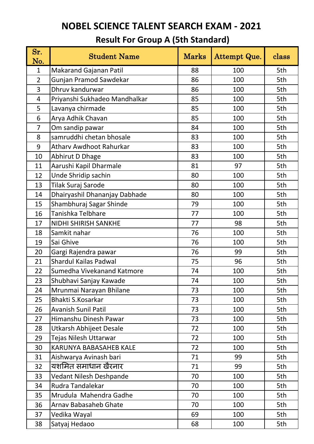| Sr.<br>No.     | <b>Student Name</b>            | <b>Marks</b> | Attempt Que. | class |
|----------------|--------------------------------|--------------|--------------|-------|
| $\mathbf{1}$   | <b>Makarand Gajanan Patil</b>  | 88           | 100          | 5th   |
| $\overline{2}$ | Gunjan Pramod Sawdekar         | 86           | 100          | 5th   |
| 3              | Dhruv kandurwar                | 86           | 100          | 5th   |
| 4              | Priyanshi Sukhadeo Mandhalkar  | 85           | 100          | 5th   |
| 5              | Lavanya chirmade               | 85           | 100          | 5th   |
| 6              | Arya Adhik Chavan              | 85           | 100          | 5th   |
| $\overline{7}$ | Om sandip pawar                | 84           | 100          | 5th   |
| 8              | samruddhi chetan bhosale       | 83           | 100          | 5th   |
| 9              | <b>Atharv Awdhoot Rahurkar</b> | 83           | 100          | 5th   |
| 10             | Abhirut D Dhage                | 83           | 100          | 5th   |
| 11             | Aarushi Kapil Dharmale         | 81           | 97           | 5th   |
| 12             | Unde Shridip sachin            | 80           | 100          | 5th   |
| 13             | Tilak Suraj Sarode             | 80           | 100          | 5th   |
| 14             | Dhairyashil Dhananjay Dabhade  | 80           | 100          | 5th   |
| 15             | Shambhuraj Sagar Shinde        | 79           | 100          | 5th   |
| 16             | Tanishka Telbhare              | 77           | 100          | 5th   |
| 17             | <b>NIDHI SHIRISH SANKHE</b>    | 77           | 98           | 5th   |
| 18             | Samkit nahar                   | 76           | 100          | 5th   |
| 19             | Sai Ghive                      | 76           | 100          | 5th   |
| 20             | Gargi Rajendra pawar           | 76           | 99           | 5th   |
| 21             | <b>Shardul Kailas Padwal</b>   | 75           | 96           | 5th   |
| 22             | Sumedha Vivekanand Katmore     | 74           | 100          | 5th   |
| 23             | Shubhavi Sanjay Kawade         | 74           | 100          | 5th   |
| 24             | Mrunmai Narayan Bhilane        | 73           | 100          | 5th   |
| 25             | <b>Bhakti S.Kosarkar</b>       | 73           | 100          | 5th   |
| 26             | Avanish Sunil Patil            | 73           | 100          | 5th   |
| 27             | Himanshu Dinesh Pawar          | 73           | 100          | 5th   |
| 28             | Utkarsh Abhijeet Desale        | 72           | 100          | 5th   |
| 29             | Tejas Nilesh Uttarwar          | 72           | 100          | 5th   |
| 30             | <b>KARUNYA BABASAHEB KALE</b>  | 72           | 100          | 5th   |
| 31             | Aishwarya Avinash bari         | 71           | 99           | 5th   |
| 32             | यशमित समाधान खैरनार            | 71           | 99           | 5th   |
| 33             | Vedant Nilesh Deshpande        | 70           | 100          | 5th   |
| 34             | Rudra Tandalekar               | 70           | 100          | 5th   |
| 35             | Mrudula Mahendra Gadhe         | 70           | 100          | 5th   |
| 36             | <b>Arnav Babasaheb Ghate</b>   | 70           | 100          | 5th   |
| 37             | Vedika Wayal                   | 69           | 100          | 5th   |
| 38             | Satyaj Hedaoo                  | 68           | 100          | 5th   |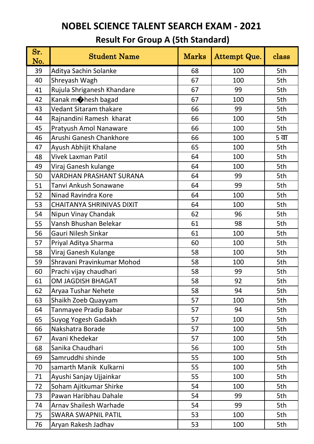| Sr.<br>No. | <b>Student Name</b>              | <b>Marks</b> | Attempt Que. | class |
|------------|----------------------------------|--------------|--------------|-------|
| 39         | Aditya Sachin Solanke            | 68           | 100          | 5th   |
| 40         | Shreyash Wagh                    | 67           | 100          | 5th   |
| 41         | Rujula Shriganesh Khandare       | 67           | 99           | 5th   |
| 42         | Kanak m <b>o</b> hesh bagad      | 67           | 100          | 5th   |
| 43         | <b>Vedant Sitaram thakare</b>    | 66           | 99           | 5th   |
| 44         | Rajnandini Ramesh kharat         | 66           | 100          | 5th   |
| 45         | Pratyush Amol Nanaware           | 66           | 100          | 5th   |
| 46         | Arushi Ganesh Chankhore          | 66           | 100          | 5 वा  |
| 47         | Ayush Abhijit Khalane            | 65           | 100          | 5th   |
| 48         | <b>Vivek Laxman Patil</b>        | 64           | 100          | 5th   |
| 49         | Viraj Ganesh kulange             | 64           | 100          | 5th   |
| 50         | <b>VARDHAN PRASHANT SURANA</b>   | 64           | 99           | 5th   |
| 51         | Tanvi Ankush Sonawane            | 64           | 99           | 5th   |
| 52         | Ninad Ravindra Kore              | 64           | 100          | 5th   |
| 53         | <b>CHAITANYA SHRINIVAS DIXIT</b> | 64           | 100          | 5th   |
| 54         | Nipun Vinay Chandak              | 62           | 96           | 5th   |
| 55         | Vansh Bhushan Belekar            | 61           | 98           | 5th   |
| 56         | Gauri Nilesh Sinkar              | 61           | 100          | 5th   |
| 57         | Priyal Aditya Sharma             | 60           | 100          | 5th   |
| 58         | Viraj Ganesh Kulange             | 58           | 100          | 5th   |
| 59         | Shravani Pravinkumar Mohod       | 58           | 100          | 5th   |
| 60         | Prachi vijay chaudhari           | 58           | 99           | 5th   |
| 61         | <b>OM JAGDISH BHAGAT</b>         | 58           | 92           | 5th   |
| 62         | Aryaa Tushar Nehete              | 58           | 94           | 5th   |
| 63         | Shaikh Zoeb Quayyam              | 57           | 100          | 5th   |
| 64         | Tanmayee Pradip Babar            | 57           | 94           | 5th   |
| 65         | Suyog Yogesh Gadakh              | 57           | 100          | 5th   |
| 66         | Nakshatra Borade                 | 57           | 100          | 5th   |
| 67         | Avani Khedekar                   | 57           | 100          | 5th   |
| 68         | Sanika Chaudhari                 | 56           | 100          | 5th   |
| 69         | Samruddhi shinde                 | 55           | 100          | 5th   |
| 70         | samarth Manik Kulkarni           | 55           | 100          | 5th   |
| 71         | Ayushi Sanjay Ujjainkar          | 55           | 100          | 5th   |
| 72         | Soham Ajitkumar Shirke           | 54           | 100          | 5th   |
| 73         | Pawan Haribhau Dahale            | 54           | 99           | 5th   |
| 74         | <b>Arnav Shailesh Warhade</b>    | 54           | 99           | 5th   |
| 75         | <b>SWARA SWAPNIL PATIL</b>       | 53           | 100          | 5th   |
| 76         | Aryan Rakesh Jadhav              | 53           | 100          | 5th   |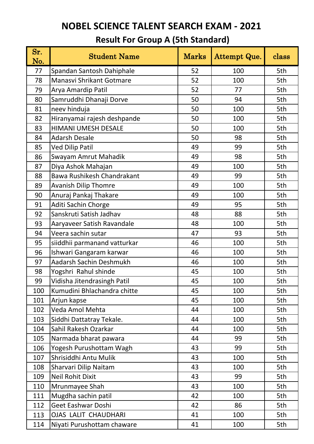| Sr.<br>No. | <b>Student Name</b>          | <b>Marks</b> | Attempt Que. | class |
|------------|------------------------------|--------------|--------------|-------|
| 77         | Spandan Santosh Dahiphale    | 52           | 100          | 5th   |
| 78         | Manasvi Shrikant Gotmare     | 52           | 100          | 5th   |
| 79         | Arya Amardip Patil           | 52           | 77           | 5th   |
| 80         | Samruddhi Dhanaji Dorve      | 50           | 94           | 5th   |
| 81         | neev hinduja                 | 50           | 100          | 5th   |
| 82         | Hiranyamai rajesh deshpande  | 50           | 100          | 5th   |
| 83         | <b>HIMANI UMESH DESALE</b>   | 50           | 100          | 5th   |
| 84         | <b>Adarsh Desale</b>         | 50           | 98           | 5th   |
| 85         | <b>Ved Dilip Patil</b>       | 49           | 99           | 5th   |
| 86         | Swayam Amrut Mahadik         | 49           | 98           | 5th   |
| 87         | Diya Ashok Mahajan           | 49           | 100          | 5th   |
| 88         | Bawa Rushikesh Chandrakant   | 49           | 99           | 5th   |
| 89         | <b>Avanish Dilip Thomre</b>  | 49           | 100          | 5th   |
| 90         | Anuraj Pankaj Thakare        | 49           | 100          | 5th   |
| 91         | Aditi Sachin Chorge          | 49           | 95           | 5th   |
| 92         | Sanskruti Satish Jadhav      | 48           | 88           | 5th   |
| 93         | Aaryaveer Satish Ravandale   | 48           | 100          | 5th   |
| 94         | Veera sachin sutar           | 47           | 93           | 5th   |
| 95         | siiddhii parmanand vatturkar | 46           | 100          | 5th   |
| 96         | Ishwari Gangaram karwar      | 46           | 100          | 5th   |
| 97         | Aadarsh Sachin Deshmukh      | 46           | 100          | 5th   |
| 98         | Yogshri Rahul shinde         | 45           | 100          | 5th   |
| 99         | Vidisha Jitendrasingh Patil  | 45           | 100          | 5th   |
| 100        | Kumudini Bhlachandra chitte  | 45           | 100          | 5th   |
| 101        | Arjun kapse                  | 45           | 100          | 5th   |
| 102        | Veda Amol Mehta              | 44           | 100          | 5th   |
| 103        | Siddhi Dattatray Tekale.     | 44           | 100          | 5th   |
| 104        | Sahil Rakesh Ozarkar         | 44           | 100          | 5th   |
| 105        | Narmada bharat pawara        | 44           | 99           | 5th   |
| 106        | Yogesh Purushottam Wagh      | 43           | 99           | 5th   |
| 107        | Shrisiddhi Antu Mulik        | 43           | 100          | 5th   |
| 108        | Sharvari Dilip Naitam        | 43           | 100          | 5th   |
| 109        | Neil Rohit Dixit             | 43           | 99           | 5th   |
| 110        | Mrunmayee Shah               | 43           | 100          | 5th   |
| 111        | Mugdha sachin patil          | 42           | 100          | 5th   |
| 112        | Geet Eashwar Doshi           | 42           | 86           | 5th   |
| 113        | <b>OJAS LALIT CHAUDHARI</b>  | 41           | 100          | 5th   |
| 114        | Niyati Purushottam chaware   | 41           | 100          | 5th   |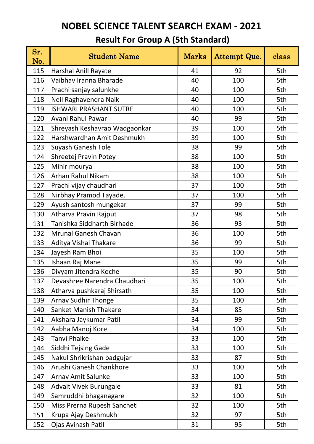| Sr.<br>No. | <b>Student Name</b>           | <b>Marks</b> | Attempt Que. | class |
|------------|-------------------------------|--------------|--------------|-------|
| 115        | <b>Harshal Anill Rayate</b>   | 41           | 92           | 5th   |
| 116        | Vaibhav Iranna Bharade        | 40           | 100          | 5th   |
| 117        | Prachi sanjay salunkhe        | 40           | 100          | 5th   |
| 118        | Neil Raghavendra Naik         | 40           | 100          | 5th   |
| 119        | <b>ISHWARI PRASHANT SUTRE</b> | 40           | 100          | 5th   |
| 120        | Avani Rahul Pawar             | 40           | 99           | 5th   |
| 121        | Shreyash Keshavrao Wadgaonkar | 39           | 100          | 5th   |
| 122        | Harshwardhan Amit Deshmukh    | 39           | 100          | 5th   |
| 123        | <b>Suyash Ganesh Tole</b>     | 38           | 99           | 5th   |
| 124        | Shreetej Pravin Potey         | 38           | 100          | 5th   |
| 125        | Mihir mourya                  | 38           | 100          | 5th   |
| 126        | Arhan Rahul Nikam             | 38           | 100          | 5th   |
| 127        | Prachi vijay chaudhari        | 37           | 100          | 5th   |
| 128        | Nirbhay Pramod Tayade.        | 37           | 100          | 5th   |
| 129        | Ayush santosh mungekar        | 37           | 99           | 5th   |
| 130        | Atharva Pravin Rajput         | 37           | 98           | 5th   |
| 131        | Tanishka Siddharth Birhade    | 36           | 93           | 5th   |
| 132        | <b>Mrunal Ganesh Chavan</b>   | 36           | 100          | 5th   |
| 133        | <b>Aditya Vishal Thakare</b>  | 36           | 99           | 5th   |
| 134        | Jayesh Ram Bhoi               | 35           | 100          | 5th   |
| 135        | Ishaan Raj Mane               | 35           | 99           | 5th   |
| 136        | Divyam Jitendra Koche         | 35           | 90           | 5th   |
| 137        | Devashree Narendra Chaudhari  | 35           | 100          | 5th   |
| 138        | Atharva pushkaraj Shirsath    | 35           | 100          | 5th   |
| 139        | <b>Arnav Sudhir Thonge</b>    | 35           | 100          | 5th   |
| 140        | <b>Sanket Manish Thakare</b>  | 34           | 85           | 5th   |
| 141        | Akshara Jaykumar Patil        | 34           | 99           | 5th   |
| 142        | Aabha Manoj Kore              | 34           | 100          | 5th   |
| 143        | <b>Tanvi Phalke</b>           | 33           | 100          | 5th   |
| 144        | <b>Siddhi Tejsing Gade</b>    | 33           | 100          | 5th   |
| 145        | Nakul Shrikrishan badgujar    | 33           | 87           | 5th   |
| 146        | Arushi Ganesh Chankhore       | 33           | 100          | 5th   |
| 147        | <b>Arnav Amit Salunke</b>     | 33           | 100          | 5th   |
| 148        | <b>Advait Vivek Burungale</b> | 33           | 81           | 5th   |
| 149        | Samruddhi bhaganagare         | 32           | 100          | 5th   |
| 150        | Miss Prerna Rupesh Sancheti   | 32           | 100          | 5th   |
| 151        | Krupa Ajay Deshmukh           | 32           | 97           | 5th   |
| 152        | Ojas Avinash Patil            | 31           | 95           | 5th   |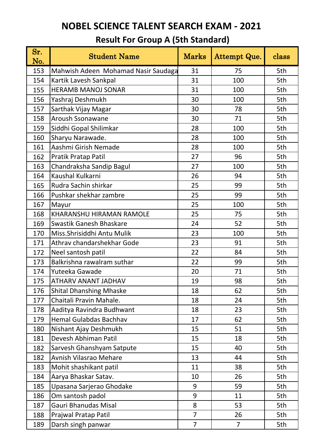| Sr.<br>No. | <b>Student Name</b>                 | <b>Marks</b>   | Attempt Que.   | class |
|------------|-------------------------------------|----------------|----------------|-------|
| 153        | Mahwish Adeen Mohamad Nasir Saudaga | 31             | 75             | 5th   |
| 154        | Kartik Lavesh Sankpal               | 31             | 100            | 5th   |
| 155        | <b>HERAMB MANOJ SONAR</b>           | 31             | 100            | 5th   |
| 156        | Yashraj Deshmukh                    | 30             | 100            | 5th   |
| 157        | Sarthak Vijay Magar                 | 30             | 78             | 5th   |
| 158        | <b>Aroush Ssonawane</b>             | 30             | 71             | 5th   |
| 159        | Siddhi Gopal Shilimkar              | 28             | 100            | 5th   |
| 160        | Sharyu Narawade.                    | 28             | 100            | 5th   |
| 161        | Aashmi Girish Nemade                | 28             | 100            | 5th   |
| 162        | Pratik Pratap Patil                 | 27             | 96             | 5th   |
| 163        | Chandraksha Sandip Bagul            | 27             | 100            | 5th   |
| 164        | Kaushal Kulkarni                    | 26             | 94             | 5th   |
| 165        | Rudra Sachin shirkar                | 25             | 99             | 5th   |
| 166        | Pushkar shekhar zambre              | 25             | 99             | 5th   |
| 167        | Mayur                               | 25             | 100            | 5th   |
| 168        | KHARANSHU HIRAMAN RAMOLE            | 25             | 75             | 5th   |
| 169        | Swastik Ganesh Bhaskare             | 24             | 52             | 5th   |
| 170        | Miss.Shrisiddhi Antu Mulik          | 23             | 100            | 5th   |
| 171        | Athrav chandarshekhar Gode          | 23             | 91             | 5th   |
| 172        | Neel santosh patil                  | 22             | 84             | 5th   |
| 173        | Balkrishna rawalram suthar          | 22             | 99             | 5th   |
| 174        | Yuteeka Gawade                      | 20             | 71             | 5th   |
| 175        | ATHARV ANANT JADHAV                 | 19             | 98             | 5th   |
| 176        | <b>Shital Dhanshing Mhaske</b>      | 18             | 62             | 5th   |
| 177        | Chaitali Pravin Mahale.             | 18             | 24             | 5th   |
| 178        | Aaditya Ravindra Budhwant           | 18             | 23             | 5th   |
| 179        | <b>Hemal Gulabdas Bachhav</b>       | 17             | 62             | 5th   |
| 180        | Nishant Ajay Deshmukh               | 15             | 51             | 5th   |
| 181        | Devesh Abhiman Patil                | 15             | 18             | 5th   |
| 182        | Sarvesh Ghanshyam Satpute           | 15             | 40             | 5th   |
| 182        | Avnish Vilasrao Mehare              | 13             | 44             | 5th   |
| 183        | Mohit shashikant patil              | 11             | 38             | 5th   |
| 184        | Aarya Bhaskar Satav.                | 10             | 26             | 5th   |
| 185        | Upasana Sarjerao Ghodake            | 9              | 59             | 5th   |
| 186        | Om santosh padol                    | 9              | 11             | 5th   |
| 187        | Gauri Bhanudas Misal                | 8              | 53             | 5th   |
| 188        | Prajwal Pratap Patil                | $\overline{7}$ | 26             | 5th   |
| 189        | Darsh singh panwar                  | $\overline{7}$ | $\overline{7}$ | 5th   |